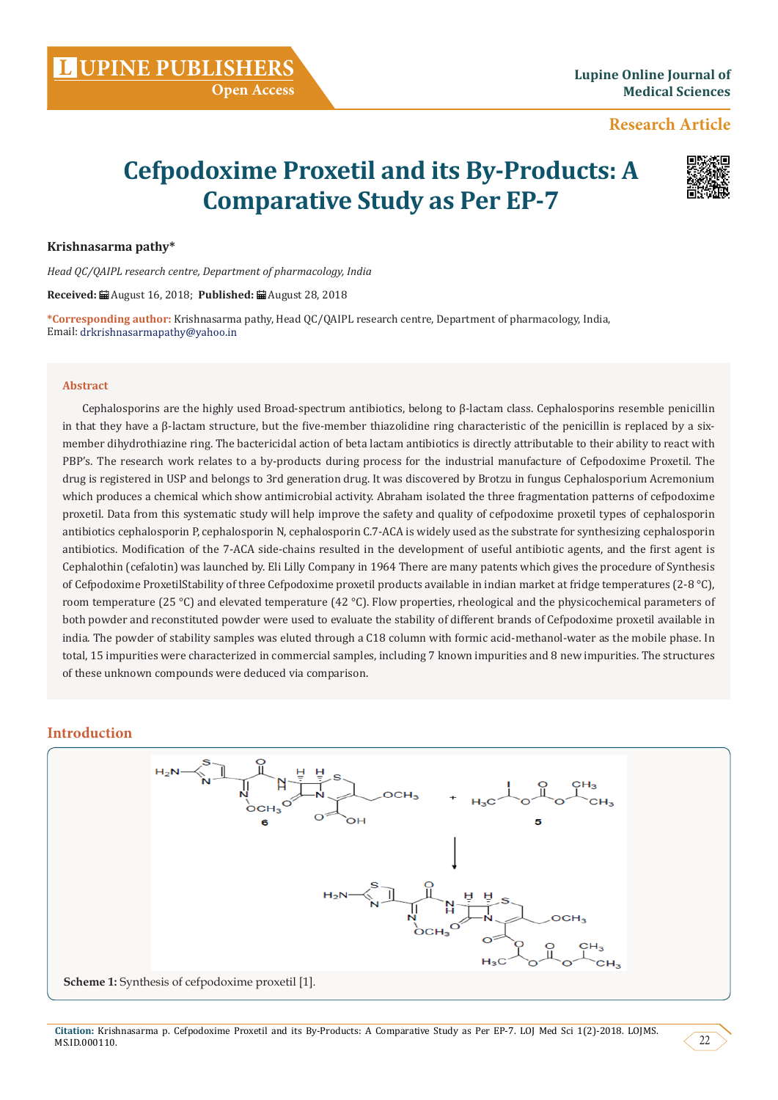# **Research Article**

# **Cefpodoxime Proxetil and its By-Products: A Comparative Study as Per EP-7**



#### **Krishnasarma pathy\***

*Head QC/QAIPL research centre, Department of pharmacology, India*

**Received:** August 16, 2018; **Published:** August 28, 2018

**\*Corresponding author:** Krishnasarma pathy, Head QC/QAIPL research centre, Department of pharmacology, India, Email: drkrishnasarmapathy@yahoo.in

#### **Abstract**

Cephalosporins are the highly used Broad-spectrum antibiotics, belong to β-lactam class. Cephalosporins resemble penicillin in that they have a  $\beta$ -lactam structure, but the five-member thiazolidine ring characteristic of the penicillin is replaced by a sixmember dihydrothiazine ring. The bactericidal action of beta lactam antibiotics is directly attributable to their ability to react with PBP's. The research work relates to a by-products during process for the industrial manufacture of Cefpodoxime Proxetil. The drug is registered in USP and belongs to 3rd generation drug. It was discovered by Brotzu in fungus Cephalosporium Acremonium which produces a chemical which show antimicrobial activity. Abraham isolated the three fragmentation patterns of cefpodoxime proxetil. Data from this systematic study will help improve the safety and quality of cefpodoxime proxetil types of cephalosporin antibiotics cephalosporin P, cephalosporin N, cephalosporin C.7-ACA is widely used as the substrate for synthesizing cephalosporin antibiotics. Modification of the 7-ACA side-chains resulted in the development of useful antibiotic agents, and the first agent is Cephalothin (cefalotin) was launched by. Eli Lilly Company in 1964 There are many patents which gives the procedure of Synthesis of Cefpodoxime ProxetilStability of three Cefpodoxime proxetil products available in indian market at fridge temperatures (2-8 °C), room temperature (25 °C) and elevated temperature (42 °C). Flow properties, rheological and the physicochemical parameters of both powder and reconstituted powder were used to evaluate the stability of different brands of Cefpodoxime proxetil available in india. The powder of stability samples was eluted through a C18 column with formic acid-methanol-water as the mobile phase. In total, 15 impurities were characterized in commercial samples, including 7 known impurities and 8 new impurities. The structures of these unknown compounds were deduced via comparison.

## **Introduction**

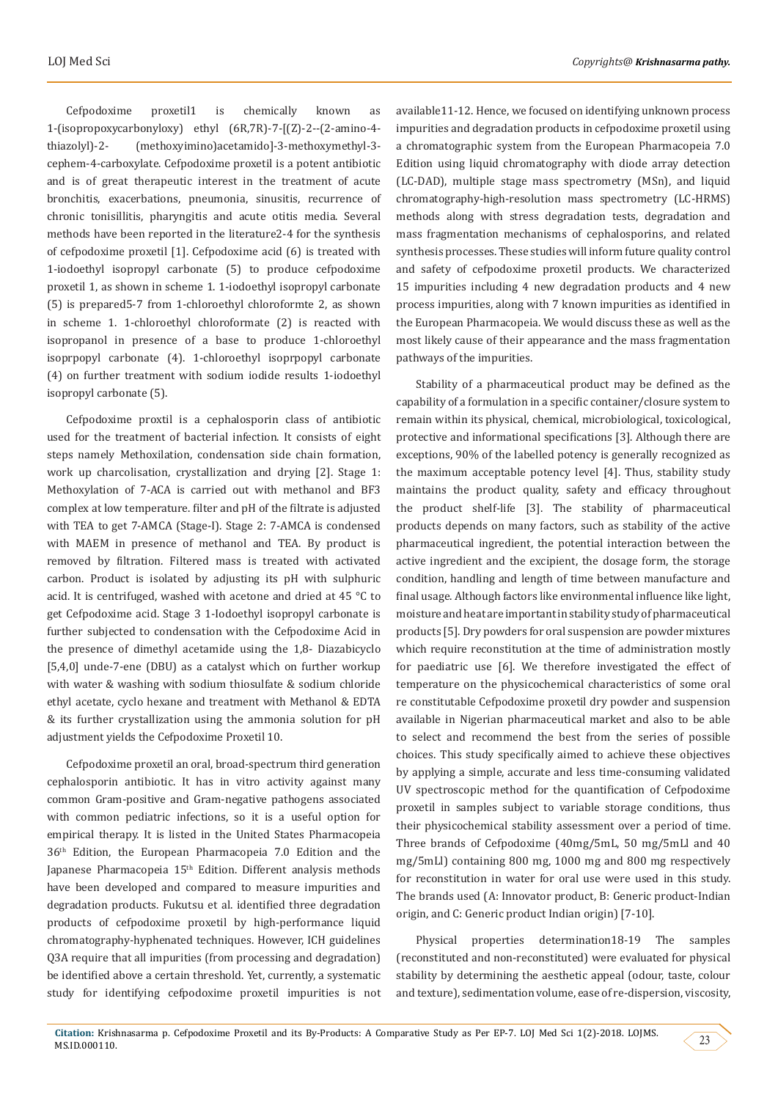Cefpodoxime proxetil1 is chemically known as 1-(isopropoxycarbonyloxy) ethyl (6R,7R)-7-[(Z)-2--(2-amino-4 thiazolyl)-2- (methoxyimino)acetamido]-3-methoxymethyl-3 cephem-4-carboxylate. Cefpodoxime proxetil is a potent antibiotic and is of great therapeutic interest in the treatment of acute bronchitis, exacerbations, pneumonia, sinusitis, recurrence of chronic tonisillitis, pharyngitis and acute otitis media. Several methods have been reported in the literature2-4 for the synthesis of cefpodoxime proxetil [1]. Cefpodoxime acid (6) is treated with 1-iodoethyl isopropyl carbonate (5) to produce cefpodoxime proxetil 1, as shown in scheme 1. 1-iodoethyl isopropyl carbonate (5) is prepared5-7 from 1-chloroethyl chloroformte 2, as shown in scheme 1. 1-chloroethyl chloroformate (2) is reacted with isopropanol in presence of a base to produce 1-chloroethyl isoprpopyl carbonate (4). 1-chloroethyl isoprpopyl carbonate (4) on further treatment with sodium iodide results 1-iodoethyl isopropyl carbonate (5).

Cefpodoxime proxtil is a cephalosporin class of antibiotic used for the treatment of bacterial infection. It consists of eight steps namely Methoxilation, condensation side chain formation, work up charcolisation, crystallization and drying [2]. Stage 1: Methoxylation of 7-ACA is carried out with methanol and BF3 complex at low temperature. filter and pH of the filtrate is adjusted with TEA to get 7-AMCA (Stage-I). Stage 2: 7-AMCA is condensed with MAEM in presence of methanol and TEA. By product is removed by filtration. Filtered mass is treated with activated carbon. Product is isolated by adjusting its pH with sulphuric acid. It is centrifuged, washed with acetone and dried at 45 °C to get Cefpodoxime acid. Stage 3 1-Iodoethyl isopropyl carbonate is further subjected to condensation with the Cefpodoxime Acid in the presence of dimethyl acetamide using the 1,8- Diazabicyclo [5,4,0] unde-7-ene (DBU) as a catalyst which on further workup with water & washing with sodium thiosulfate & sodium chloride ethyl acetate, cyclo hexane and treatment with Methanol & EDTA & its further crystallization using the ammonia solution for pH adjustment yields the Cefpodoxime Proxetil 10.

Cefpodoxime proxetil an oral, broad-spectrum third generation cephalosporin antibiotic. It has in vitro activity against many common Gram-positive and Gram-negative pathogens associated with common pediatric infections, so it is a useful option for empirical therapy. It is listed in the United States Pharmacopeia 36th Edition, the European Pharmacopeia 7.0 Edition and the Japanese Pharmacopeia 15<sup>th</sup> Edition. Different analysis methods have been developed and compared to measure impurities and degradation products. Fukutsu et al. identified three degradation products of cefpodoxime proxetil by high-performance liquid chromatography-hyphenated techniques. However, ICH guidelines Q3A require that all impurities (from processing and degradation) be identified above a certain threshold. Yet, currently, a systematic study for identifying cefpodoxime proxetil impurities is not

available11-12. Hence, we focused on identifying unknown process impurities and degradation products in cefpodoxime proxetil using a chromatographic system from the European Pharmacopeia 7.0 Edition using liquid chromatography with diode array detection (LC-DAD), multiple stage mass spectrometry (MSn), and liquid chromatography-high-resolution mass spectrometry (LC-HRMS) methods along with stress degradation tests, degradation and mass fragmentation mechanisms of cephalosporins, and related synthesis processes. These studies will inform future quality control and safety of cefpodoxime proxetil products. We characterized 15 impurities including 4 new degradation products and 4 new process impurities, along with 7 known impurities as identified in the European Pharmacopeia. We would discuss these as well as the most likely cause of their appearance and the mass fragmentation pathways of the impurities.

Stability of a pharmaceutical product may be defined as the capability of a formulation in a specific container/closure system to remain within its physical, chemical, microbiological, toxicological, protective and informational specifications [3]. Although there are exceptions, 90% of the labelled potency is generally recognized as the maximum acceptable potency level [4]. Thus, stability study maintains the product quality, safety and efficacy throughout the product shelf-life [3]. The stability of pharmaceutical products depends on many factors, such as stability of the active pharmaceutical ingredient, the potential interaction between the active ingredient and the excipient, the dosage form, the storage condition, handling and length of time between manufacture and final usage. Although factors like environmental influence like light, moisture and heat are important in stability study of pharmaceutical products [5]. Dry powders for oral suspension are powder mixtures which require reconstitution at the time of administration mostly for paediatric use [6]. We therefore investigated the effect of temperature on the physicochemical characteristics of some oral re constitutable Cefpodoxime proxetil dry powder and suspension available in Nigerian pharmaceutical market and also to be able to select and recommend the best from the series of possible choices. This study specifically aimed to achieve these objectives by applying a simple, accurate and less time-consuming validated UV spectroscopic method for the quantification of Cefpodoxime proxetil in samples subject to variable storage conditions, thus their physicochemical stability assessment over a period of time. Three brands of Cefpodoxime (40mg/5mL, 50 mg/5mLl and 40 mg/5mLl) containing 800 mg, 1000 mg and 800 mg respectively for reconstitution in water for oral use were used in this study. The brands used (A: Innovator product, B: Generic product-Indian origin, and C: Generic product Indian origin) [7-10].

Physical properties determination18-19 The samples (reconstituted and non-reconstituted) were evaluated for physical stability by determining the aesthetic appeal (odour, taste, colour and texture), sedimentation volume, ease of re-dispersion, viscosity,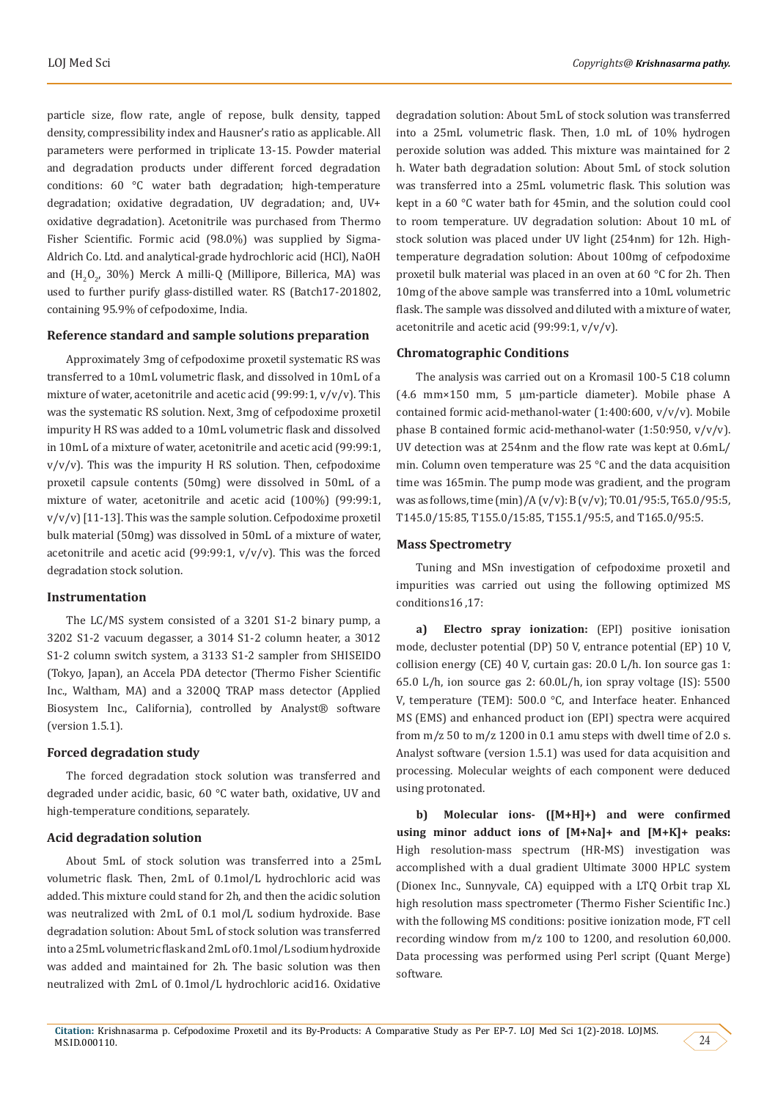particle size, flow rate, angle of repose, bulk density, tapped density, compressibility index and Hausner's ratio as applicable. All parameters were performed in triplicate 13-15. Powder material and degradation products under different forced degradation conditions: 60 °C water bath degradation; high-temperature degradation; oxidative degradation, UV degradation; and, UV+ oxidative degradation). Acetonitrile was purchased from Thermo Fisher Scientific. Formic acid (98.0%) was supplied by Sigma-Aldrich Co. Ltd. and analytical-grade hydrochloric acid (HCl), NaOH and  $(H_2O_2, 30\%)$  Merck A milli-Q (Millipore, Billerica, MA) was used to further purify glass-distilled water. RS (Batch17-201802, containing 95.9% of cefpodoxime, India.

## **Reference standard and sample solutions preparation**

Approximately 3mg of cefpodoxime proxetil systematic RS was transferred to a 10mL volumetric flask, and dissolved in 10mL of a mixture of water, acetonitrile and acetic acid (99:99:1,  $v/v/v$ ). This was the systematic RS solution. Next, 3mg of cefpodoxime proxetil impurity H RS was added to a 10mL volumetric flask and dissolved in 10mL of a mixture of water, acetonitrile and acetic acid (99:99:1,  $v/v/v$ ). This was the impurity H RS solution. Then, cefpodoxime proxetil capsule contents (50mg) were dissolved in 50mL of a mixture of water, acetonitrile and acetic acid (100%) (99:99:1,  $v/v/v$  [11-13]. This was the sample solution. Cefpodoxime proxetil bulk material (50mg) was dissolved in 50mL of a mixture of water, acetonitrile and acetic acid (99:99:1,  $v/v/v$ ). This was the forced degradation stock solution.

#### **Instrumentation**

The LC/MS system consisted of a 3201 S1-2 binary pump, a 3202 S1-2 vacuum degasser, a 3014 S1-2 column heater, a 3012 S1-2 column switch system, a 3133 S1-2 sampler from SHISEIDO (Tokyo, Japan), an Accela PDA detector (Thermo Fisher Scientific Inc., Waltham, MA) and a 3200Q TRAP mass detector (Applied Biosystem Inc., California), controlled by Analyst® software (version 1.5.1).

## **Forced degradation study**

The forced degradation stock solution was transferred and degraded under acidic, basic, 60 °C water bath, oxidative, UV and high-temperature conditions, separately.

#### **Acid degradation solution**

About 5mL of stock solution was transferred into a 25mL volumetric flask. Then, 2mL of 0.1mol/L hydrochloric acid was added. This mixture could stand for 2h, and then the acidic solution was neutralized with 2mL of 0.1 mol/L sodium hydroxide. Base degradation solution: About 5mL of stock solution was transferred into a 25mL volumetric flask and 2mL of 0.1mol/L sodium hydroxide was added and maintained for 2h. The basic solution was then neutralized with 2mL of 0.1mol/L hydrochloric acid16. Oxidative

degradation solution: About 5mL of stock solution was transferred into a 25mL volumetric flask. Then, 1.0 mL of 10% hydrogen peroxide solution was added. This mixture was maintained for 2 h. Water bath degradation solution: About 5mL of stock solution was transferred into a 25mL volumetric flask. This solution was kept in a 60 °C water bath for 45min, and the solution could cool to room temperature. UV degradation solution: About 10 mL of stock solution was placed under UV light (254nm) for 12h. Hightemperature degradation solution: About 100mg of cefpodoxime proxetil bulk material was placed in an oven at 60 °C for 2h. Then 10mg of the above sample was transferred into a 10mL volumetric flask. The sample was dissolved and diluted with a mixture of water, acetonitrile and acetic acid (99:99:1, v/v/v).

#### **Chromatographic Conditions**

The analysis was carried out on a Kromasil 100-5 C18 column (4.6 mm×150 mm, 5 μm-particle diameter). Mobile phase A contained formic acid-methanol-water (1:400:600, v/v/v). Mobile phase B contained formic acid-methanol-water (1:50:950, v/v/v). UV detection was at 254nm and the flow rate was kept at 0.6mL/ min. Column oven temperature was 25 °C and the data acquisition time was 165min. The pump mode was gradient, and the program was as follows, time (min)/A (v/v): B (v/v); T0.01/95:5, T65.0/95:5, T145.0/15:85, T155.0/15:85, T155.1/95:5, and T165.0/95:5.

#### **Mass Spectrometry**

Tuning and MSn investigation of cefpodoxime proxetil and impurities was carried out using the following optimized MS conditions16 ,17:

**a) Electro spray ionization:** (EPI) positive ionisation mode, decluster potential (DP) 50 V, entrance potential (EP) 10 V, collision energy (CE) 40 V, curtain gas: 20.0 L/h. Ion source gas 1: 65.0 L/h, ion source gas 2: 60.0L/h, ion spray voltage (IS): 5500 V, temperature (TEM): 500.0 °C, and Interface heater. Enhanced MS (EMS) and enhanced product ion (EPI) spectra were acquired from  $m/z$  50 to  $m/z$  1200 in 0.1 amu steps with dwell time of 2.0 s. Analyst software (version 1.5.1) was used for data acquisition and processing. Molecular weights of each component were deduced using protonated.

**b) Molecular ions- ([M+H]+) and were confirmed using minor adduct ions of [M+Na]+ and [M+K]+ peaks:**  High resolution-mass spectrum (HR-MS) investigation was accomplished with a dual gradient Ultimate 3000 HPLC system (Dionex Inc., Sunnyvale, CA) equipped with a LTQ Orbit trap XL high resolution mass spectrometer (Thermo Fisher Scientific Inc.) with the following MS conditions: positive ionization mode, FT cell recording window from m/z 100 to 1200, and resolution 60,000. Data processing was performed using Perl script (Quant Merge) software.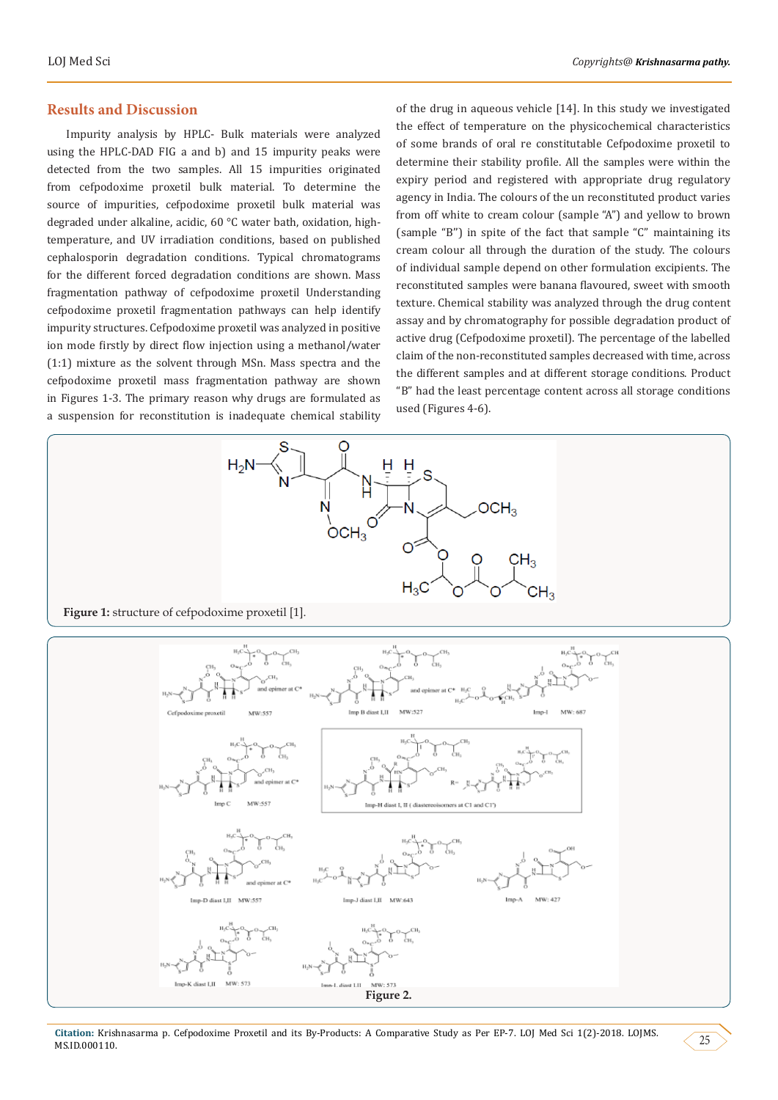## **Results and Discussion**

Impurity analysis by HPLC- Bulk materials were analyzed using the HPLC-DAD FIG a and b) and 15 impurity peaks were detected from the two samples. All 15 impurities originated from cefpodoxime proxetil bulk material. To determine the source of impurities, cefpodoxime proxetil bulk material was degraded under alkaline, acidic, 60 °C water bath, oxidation, hightemperature, and UV irradiation conditions, based on published cephalosporin degradation conditions. Typical chromatograms for the different forced degradation conditions are shown. Mass fragmentation pathway of cefpodoxime proxetil Understanding cefpodoxime proxetil fragmentation pathways can help identify impurity structures. Cefpodoxime proxetil was analyzed in positive ion mode firstly by direct flow injection using a methanol/water (1:1) mixture as the solvent through MSn. Mass spectra and the cefpodoxime proxetil mass fragmentation pathway are shown in Figures 1-3. The primary reason why drugs are formulated as a suspension for reconstitution is inadequate chemical stability

of the drug in aqueous vehicle [14]. In this study we investigated the effect of temperature on the physicochemical characteristics of some brands of oral re constitutable Cefpodoxime proxetil to determine their stability profile. All the samples were within the expiry period and registered with appropriate drug regulatory agency in India. The colours of the un reconstituted product varies from off white to cream colour (sample "A") and yellow to brown (sample "B'') in spite of the fact that sample "C" maintaining its cream colour all through the duration of the study. The colours of individual sample depend on other formulation excipients. The reconstituted samples were banana flavoured, sweet with smooth texture. Chemical stability was analyzed through the drug content assay and by chromatography for possible degradation product of active drug (Cefpodoxime proxetil). The percentage of the labelled claim of the non-reconstituted samples decreased with time, across the different samples and at different storage conditions. Product "B" had the least percentage content across all storage conditions used (Figures 4-6).



**Figure 1:** structure of cefpodoxime proxetil [1].



Citation: Krishnasarma p. Cefpodoxime Proxetil and its By-Products: A Comparative Study as Per EP-7. LOJ Med Sci 1(2)-2018. LOJMS.<br>MS.ID.000110.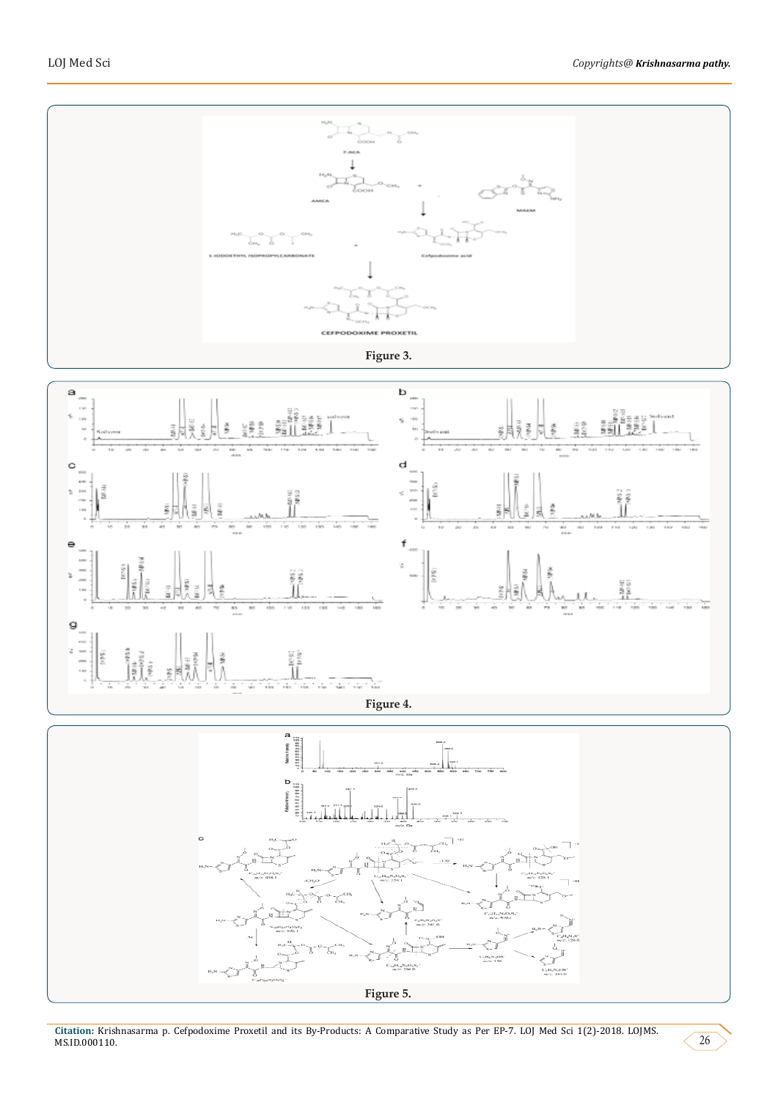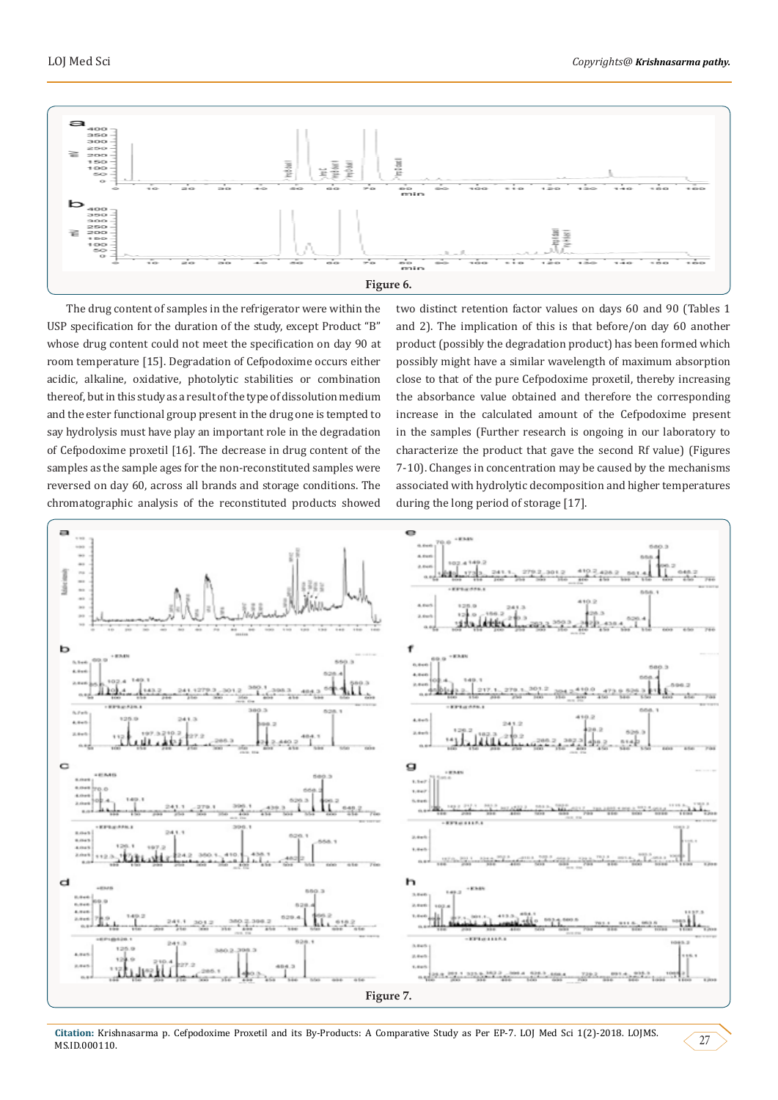

The drug content of samples in the refrigerator were within the USP specification for the duration of the study, except Product "B" whose drug content could not meet the specification on day 90 at room temperature [15]. Degradation of Cefpodoxime occurs either acidic, alkaline, oxidative, photolytic stabilities or combination thereof, but in this study as a result of the type of dissolution medium and the ester functional group present in the drug one is tempted to say hydrolysis must have play an important role in the degradation of Cefpodoxime proxetil [16]. The decrease in drug content of the samples as the sample ages for the non-reconstituted samples were reversed on day 60, across all brands and storage conditions. The chromatographic analysis of the reconstituted products showed

two distinct retention factor values on days 60 and 90 (Tables 1 and 2). The implication of this is that before/on day 60 another product (possibly the degradation product) has been formed which possibly might have a similar wavelength of maximum absorption close to that of the pure Cefpodoxime proxetil, thereby increasing the absorbance value obtained and therefore the corresponding increase in the calculated amount of the Cefpodoxime present in the samples (Further research is ongoing in our laboratory to characterize the product that gave the second Rf value) (Figures 7-10). Changes in concentration may be caused by the mechanisms associated with hydrolytic decomposition and higher temperatures during the long period of storage [17].

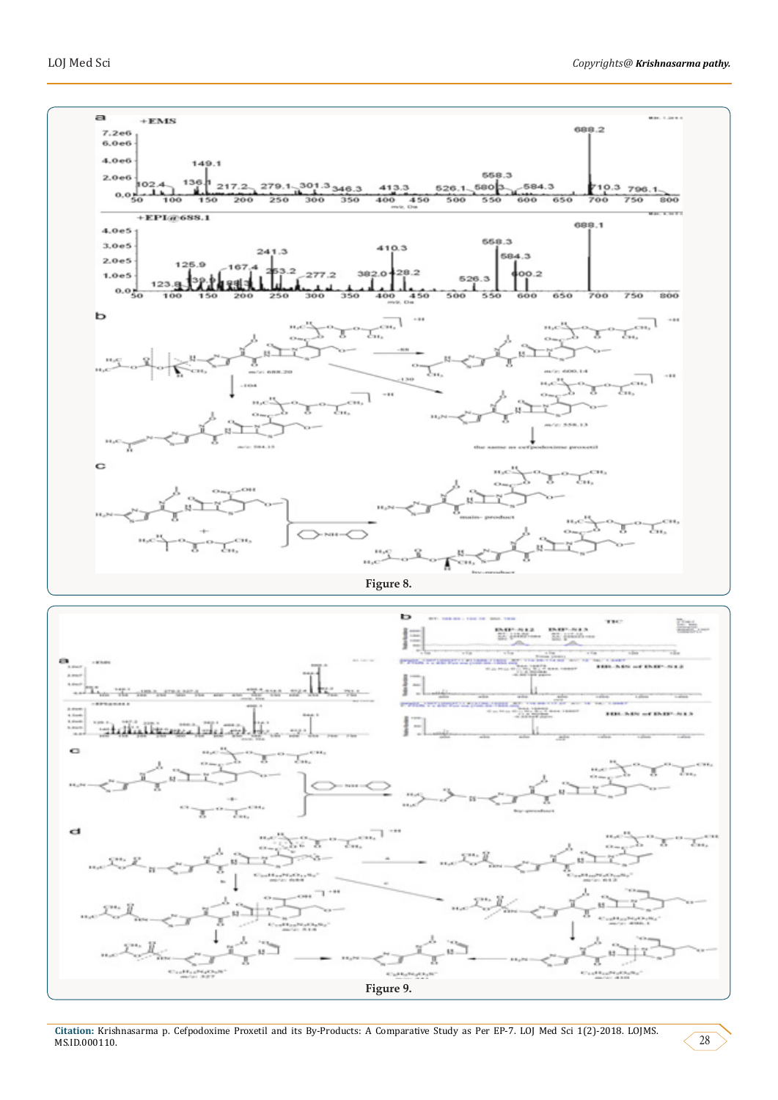

**Figure 9.**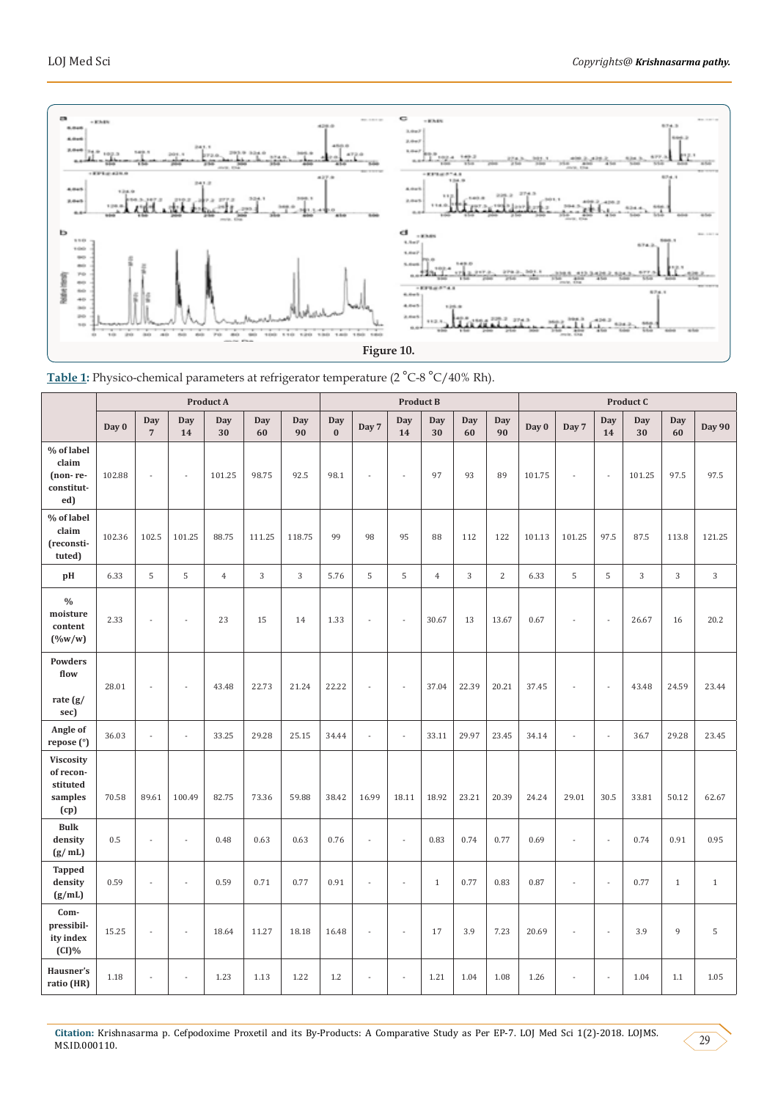



|                                                              | <b>Product A</b> |                              |                |                |                  |                | <b>Product B</b>           |                |                          |                  |            | Product C        |        |                |                          |                  |              |                |
|--------------------------------------------------------------|------------------|------------------------------|----------------|----------------|------------------|----------------|----------------------------|----------------|--------------------------|------------------|------------|------------------|--------|----------------|--------------------------|------------------|--------------|----------------|
|                                                              | Day 0            | <b>Day</b><br>$\overline{7}$ | Day<br>14      | Day<br>30      | <b>Day</b><br>60 | Day<br>90      | <b>Day</b><br>$\mathbf{0}$ | Day 7          | <b>Day</b><br>14         | <b>Day</b><br>30 | Day<br>60  | <b>Day</b><br>90 | Day 0  | Day 7          | Day<br>14                | <b>Day</b><br>30 | Day<br>60    | <b>Day 90</b>  |
| % of label<br>claim<br>(non-re-<br>constitut-<br>ed)         | 102.88           | $\bar{a}$                    | ÷,             | 101.25         | 98.75            | 92.5           | 98.1                       | L              | ÷.                       | 97               | 93         | 89               | 101.75 | ÷,             | $\overline{\phantom{a}}$ | 101.25           | 97.5         | 97.5           |
| % of label<br>claim<br>(reconsti-<br>tuted)                  | 102.36           | 102.5                        | 101.25         | 88.75          | 111.25           | 118.75         | 99                         | 98             | 95                       | 88               | 112        | 122              | 101.13 | 101.25         | 97.5                     | 87.5             | 113.8        | 121.25         |
| pH                                                           | 6.33             | 5                            | $\mathsf S$    | $\overline{4}$ | 3                | $\overline{3}$ | 5.76                       | 5              | 5                        | $\overline{4}$   | $\sqrt{3}$ | $\overline{2}$   | 6.33   | 5              | 5                        | $\sqrt{3}$       | 3            | $\overline{3}$ |
| $\%$<br>moisture<br>content<br>$(\frac{9}{w})$               | 2.33             | $\bar{a}$                    | L,             | 23             | 15               | 14             | 1.33                       | L              | $\overline{\phantom{a}}$ | 30.67            | 13         | 13.67            | 0.67   | ÷,             | $\Box$                   | 26.67            | 16           | 20.2           |
| <b>Powders</b><br>flow<br>rate (g/<br>sec)                   | 28.01            | $\overline{a}$               | ÷,             | 43.48          | 22.73            | 21.24          | 22.22                      | L              | $\overline{\phantom{a}}$ | 37.04            | 22.39      | 20.21            | 37.45  | ÷,             | ÷,                       | 43.48            | 24.59        | 23.44          |
| Angle of<br>repose (°)                                       | 36.03            | $\overline{a}$               | $\overline{a}$ | 33.25          | 29.28            | 25.15          | 34.44                      | $\overline{a}$ | $\overline{\phantom{a}}$ | 33.11            | 29.97      | 23.45            | 34.14  | $\overline{a}$ | $\Box$                   | 36.7             | 29.28        | 23.45          |
| <b>Viscosity</b><br>of recon-<br>stituted<br>samples<br>(cp) | 70.58            | 89.61                        | 100.49         | 82.75          | 73.36            | 59.88          | 38.42                      | 16.99          | 18.11                    | 18.92            | 23.21      | 20.39            | 24.24  | 29.01          | 30.5                     | 33.81            | 50.12        | 62.67          |
| <b>Bulk</b><br>density<br>(g/ml)                             | 0.5              | ÷,                           | ÷,             | 0.48           | 0.63             | 0.63           | 0.76                       | $\overline{a}$ | $\bar{z}$                | 0.83             | 0.74       | 0.77             | 0.69   | ÷,             | $\overline{a}$           | 0.74             | 0.91         | 0.95           |
| <b>Tapped</b><br>density<br>(g/mL)                           | 0.59             | ÷,                           |                | 0.59           | 0.71             | 0.77           | 0.91                       | $\overline{a}$ | $\overline{a}$           | $1\,$            | 0.77       | 0.83             | 0.87   | L,             | $\overline{a}$           | 0.77             | $\mathbf{1}$ | $\mathbf{1}$   |
| Com-<br>pressibil-<br>ity index<br>$(CI)\%$                  | 15.25            | $\bar{a}$                    | ÷,             | 18.64          | 11.27            | 18.18          | 16.48                      | ÷,             | $\overline{a}$           | 17               | 3.9        | 7.23             | 20.69  | ÷,             | $\overline{\phantom{a}}$ | 3.9              | 9            | 5              |
| Hausner's<br>ratio (HR)                                      | 1.18             | $\overline{a}$               | ÷,             | 1.23           | 1.13             | 1.22           | 1.2                        | L,             | ÷,                       | 1.21             | 1.04       | 1.08             | 1.26   | L,             | $\overline{a}$           | 1.04             | 1.1          | 1.05           |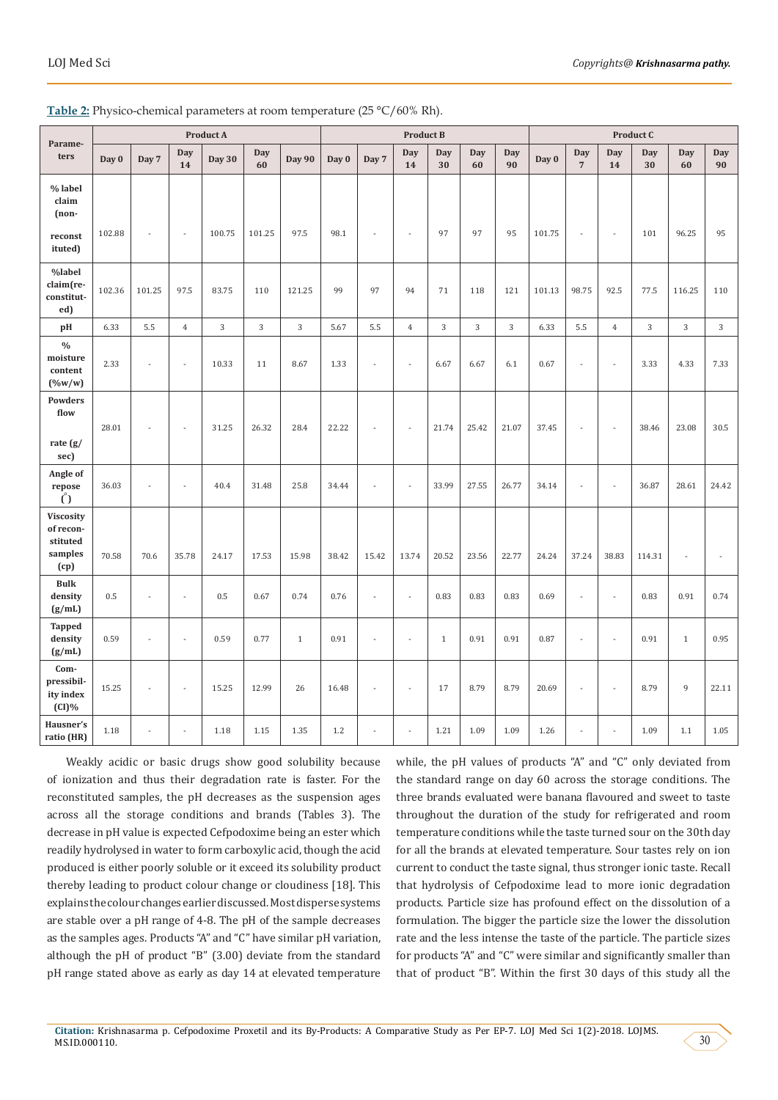| Parame-                                                      | <b>Product A</b> |        |                  |               |           |               | <b>Product B</b> |       |                |              |           |           | Product C |                       |                  |           |                  |                |
|--------------------------------------------------------------|------------------|--------|------------------|---------------|-----------|---------------|------------------|-------|----------------|--------------|-----------|-----------|-----------|-----------------------|------------------|-----------|------------------|----------------|
| ters                                                         | Day 0            | Day 7  | <b>Day</b><br>14 | <b>Day 30</b> | Day<br>60 | <b>Day 90</b> | Day 0            | Day 7 | Day<br>14      | Day<br>30    | Day<br>60 | Day<br>90 | Day 0     | Day<br>$\overline{7}$ | <b>Day</b><br>14 | Day<br>30 | <b>Day</b><br>60 | Day<br>90      |
| % label<br>claim<br>$(non-$                                  |                  |        |                  |               |           |               |                  |       |                |              |           |           |           |                       |                  |           |                  |                |
| reconst<br>ituted)                                           | 102.88           |        | $\sim$           | 100.75        | 101.25    | 97.5          | 98.1             |       | ÷,             | 97           | 97        | 95        | 101.75    |                       | $\sim$           | 101       | 96.25            | 95             |
| %label<br>claim(re-<br>constitut-<br>ed)                     | 102.36           | 101.25 | 97.5             | 83.75         | 110       | 121.25        | 99               | 97    | 94             | 71           | 118       | 121       | 101.13    | 98.75                 | 92.5             | 77.5      | 116.25           | 110            |
| pH                                                           | 6.33             | 5.5    | $\overline{4}$   | 3             | 3         | 3             | 5.67             | 5.5   | $\overline{4}$ | 3            | 3         | 3         | 6.33      | 5.5                   | $\overline{4}$   | 3         | 3                | $\overline{3}$ |
| $\frac{0}{0}$<br>moisture<br>content<br>$(\%w/w)$            | 2.33             |        | $\overline{a}$   | 10.33         | 11        | 8.67          | 1.33             |       | L.             | 6.67         | 6.67      | 6.1       | 0.67      |                       | $\sim$           | 3.33      | 4.33             | 7.33           |
| <b>Powders</b><br>flow<br>rate (g/<br>sec)                   | 28.01            |        | ÷,               | 31.25         | 26.32     | 28.4          | 22.22            | ÷,    | ÷,             | 21.74        | 25.42     | 21.07     | 37.45     |                       | $\sim$           | 38.46     | 23.08            | 30.5           |
| Angle of<br>repose<br>$\binom{8}{1}$                         | 36.03            |        | ÷,               | 40.4          | 31.48     | 25.8          | 34.44            | ÷,    | ł,             | 33.99        | 27.55     | 26.77     | 34.14     |                       | $\sim$           | 36.87     | 28.61            | 24.42          |
| <b>Viscosity</b><br>of recon-<br>stituted<br>samples<br>(cp) | 70.58            | 70.6   | 35.78            | 24.17         | 17.53     | 15.98         | 38.42            | 15.42 | 13.74          | 20.52        | 23.56     | 22.77     | 24.24     | 37.24                 | 38.83            | 114.31    |                  | ÷,             |
| <b>Bulk</b><br>density<br>(g/mL)                             | 0.5              |        | $\overline{a}$   | 0.5           | 0.67      | 0.74          | 0.76             | ÷,    | $\overline{a}$ | 0.83         | 0.83      | 0.83      | 0.69      | $\overline{a}$        | $\overline{a}$   | 0.83      | 0.91             | 0.74           |
| <b>Tapped</b><br>density<br>(g/mL)                           | 0.59             |        | $\overline{a}$   | 0.59          | 0.77      | $\mathbf{1}$  | 0.91             |       | L.             | $\mathbf{1}$ | 0.91      | 0.91      | 0.87      |                       | $\sim$           | 0.91      | $\mathbf{1}$     | 0.95           |
| Com-<br>pressibil-<br>ity index<br>$(CI)\%$                  | 15.25            |        | L,               | 15.25         | 12.99     | 26            | 16.48            |       | Ĭ.             | 17           | 8.79      | 8.79      | 20.69     | $\sim$                | $\sim$           | 8.79      | 9                | 22.11          |
| Hausner's<br>ratio (HR)                                      | 1.18             |        |                  | 1.18          | 1.15      | 1.35          | 1.2              | ÷,    |                | 1.21         | 1.09      | 1.09      | 1.26      |                       |                  | 1.09      | 1.1              | 1.05           |

Table 2: Physico-chemical parameters at room temperature (25 °C/60% Rh).

Weakly acidic or basic drugs show good solubility because of ionization and thus their degradation rate is faster. For the reconstituted samples, the pH decreases as the suspension ages across all the storage conditions and brands (Tables 3). The decrease in pH value is expected Cefpodoxime being an ester which readily hydrolysed in water to form carboxylic acid, though the acid produced is either poorly soluble or it exceed its solubility product thereby leading to product colour change or cloudiness [18]. This explains the colour changes earlier discussed. Most disperse systems are stable over a pH range of 4-8. The pH of the sample decreases as the samples ages. Products "A" and "C" have similar pH variation, although the pH of product "B" (3.00) deviate from the standard pH range stated above as early as day 14 at elevated temperature

while, the pH values of products "A" and "C" only deviated from the standard range on day 60 across the storage conditions. The three brands evaluated were banana flavoured and sweet to taste throughout the duration of the study for refrigerated and room temperature conditions while the taste turned sour on the 30th day for all the brands at elevated temperature. Sour tastes rely on ion current to conduct the taste signal, thus stronger ionic taste. Recall that hydrolysis of Cefpodoxime lead to more ionic degradation products. Particle size has profound effect on the dissolution of a formulation. The bigger the particle size the lower the dissolution rate and the less intense the taste of the particle. The particle sizes for products "A" and "C" were similar and significantly smaller than that of product "B". Within the first 30 days of this study all the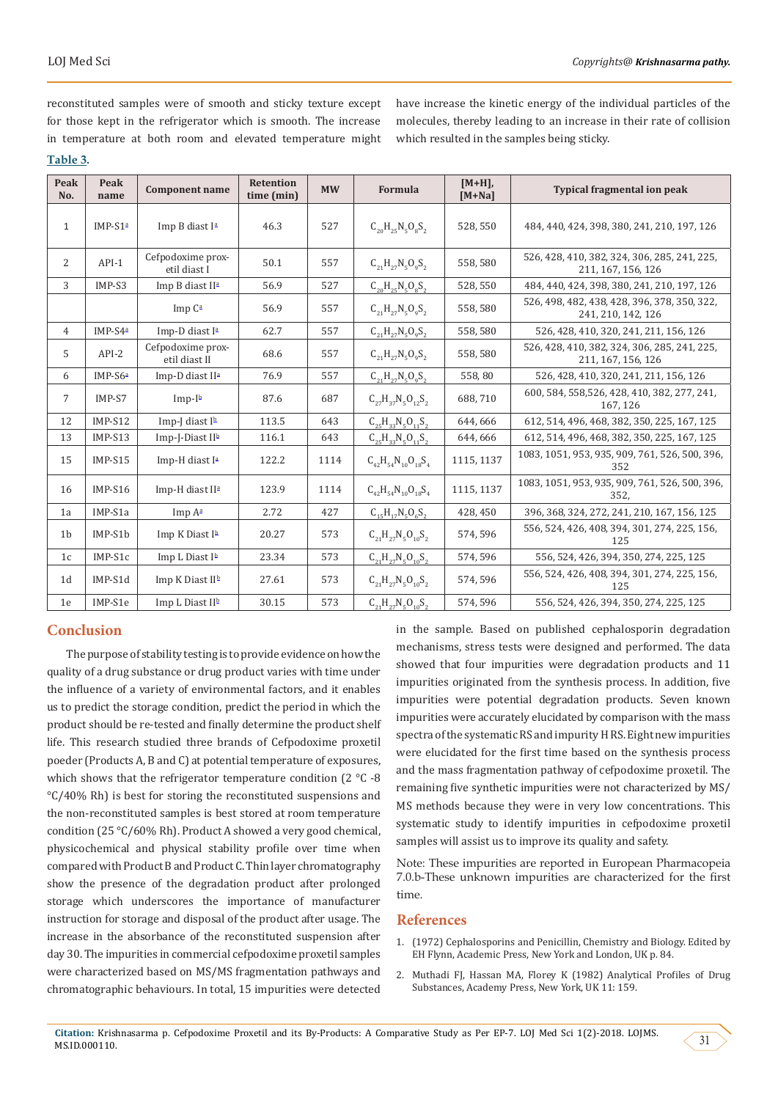reconstituted samples were of smooth and sticky texture except for those kept in the refrigerator which is smooth. The increase in temperature at both room and elevated temperature might **Table 3.**

have increase the kinetic energy of the individual particles of the molecules, thereby leading to an increase in their rate of collision which resulted in the samples being sticky.

| Peak<br>No.    | Peak<br>name | <b>Component name</b>              | <b>Retention</b><br>time (min) | <b>MW</b> | <b>Formula</b>                 | $[M+H],$<br>$[M+Na]$ | <b>Typical fragmental ion peak</b>                                 |  |  |  |
|----------------|--------------|------------------------------------|--------------------------------|-----------|--------------------------------|----------------------|--------------------------------------------------------------------|--|--|--|
| $\mathbf{1}$   | $IMP-S1a$    | Imp B diast I <sup>a</sup>         | 46.3<br>527                    |           | $C_{20}H_{25}N_5O_8S_2$        | 528,550              | 484, 440, 424, 398, 380, 241, 210, 197, 126                        |  |  |  |
| 2              | $API-1$      | Cefpodoxime prox-<br>etil diast I  | 50.1                           | 557       | $C_{21}H_{27}N_5O_9S_2$        | 558,580              | 526, 428, 410, 382, 324, 306, 285, 241, 225,<br>211, 167, 156, 126 |  |  |  |
| $\overline{3}$ | IMP-S3       | Imp B diast II <sup>a</sup>        | 56.9                           | 527       | $C_{20}H_{25}N_5O_8S_2$        | 528, 550             | 484, 440, 424, 398, 380, 241, 210, 197, 126                        |  |  |  |
|                |              | Imp $C^a$                          | 56.9                           | 557       | $C_{21}H_{27}N_5O_9S_2$        | 558,580              | 526, 498, 482, 438, 428, 396, 378, 350, 322,<br>241, 210, 142, 126 |  |  |  |
| $\overline{4}$ | IMP-S4ª      | Imp-D diast I <sup>a</sup>         | 62.7                           | 557       | $C_{21}H_{27}N_5O_9S_2$        | 558,580              | 526, 428, 410, 320, 241, 211, 156, 126                             |  |  |  |
| 5              | $API-2$      | Cefpodoxime prox-<br>etil diast II | 68.6                           | 557       | $C_{21}H_{27}N_5O_9S_2$        | 558,580              | 526, 428, 410, 382, 324, 306, 285, 241, 225,<br>211, 167, 156, 126 |  |  |  |
| 6              | $IMP-S6a$    | Imp-D diast II <sup>a</sup>        | 76.9                           | 557       | $C_{21}H_{27}N_{5}O_{9}S_{2}$  | 558,80               | 526, 428, 410, 320, 241, 211, 156, 126                             |  |  |  |
| 7              | IMP-S7       | $Imp-Ib$                           | 87.6                           | 687       | $C_{27}H_{37}N_5O_{12}S_2$     | 688.710              | 600, 584, 558, 526, 428, 410, 382, 277, 241,<br>167.126            |  |  |  |
| 12             | IMP-S12      | Imp-I diast $I^h$                  | 113.5                          | 643       | $C_{25}H_{22}N_{5}O_{11}S_{2}$ | 644.666              | 612, 514, 496, 468, 382, 350, 225, 167, 125                        |  |  |  |
| 13             | IMP-S13      | Imp-J-Diast II <sup>b</sup>        | 116.1                          | 643       | $C_{25}H_{33}N_5O_{11}S_2$     | 644,666              | 612, 514, 496, 468, 382, 350, 225, 167, 125                        |  |  |  |
| 15             | $IMP-S15$    | Imp-H diast I <sup>a</sup>         | 122.2                          | 1114      | $C_{42}H_{54}N_{10}O_{18}S_4$  | 1115.1137            | 1083, 1051, 953, 935, 909, 761, 526, 500, 396,<br>352              |  |  |  |
| 16             | $IMP-S16$    | Imp-H diast II <sup>a</sup>        | 123.9                          | 1114      | $C_{42}H_{54}N_{10}O_{18}S_4$  | 1115, 1137           | 1083, 1051, 953, 935, 909, 761, 526, 500, 396,<br>352.             |  |  |  |
| 1a             | IMP-S1a      | Imp A <sup>a</sup>                 | 2.72                           | 427       | $C_{15}H_{17}N_5O_6S_2$        | 428, 450             | 396, 368, 324, 272, 241, 210, 167, 156, 125                        |  |  |  |
| 1 <sub>b</sub> | IMP-S1b      | Imp K Diast I <sup>b</sup>         | 20.27                          | 573       | $C_{21}H_{27}N_5O_{10}S_2$     | 574,596              | 556, 524, 426, 408, 394, 301, 274, 225, 156,<br>125                |  |  |  |
| 1c             | IMP-S1c      | Imp L Diast I <sup>b</sup>         | 23.34                          | 573       | $C_{21}H_{27}N_5O_{10}S_2$     | 574,596              | 556, 524, 426, 394, 350, 274, 225, 125                             |  |  |  |
| 1 <sub>d</sub> | IMP-S1d      | Imp K Diast II <sup>b</sup>        | 27.61                          | 573       | $C_{21}H_{27}N_5O_{10}S_2$     | 574,596              | 556, 524, 426, 408, 394, 301, 274, 225, 156,<br>125                |  |  |  |
| 1e             | IMP-S1e      | Imp L Diast II <sup>b</sup>        | 30.15                          | 573       | $C_{21}H_{27}N_{5}O_{10}S_{2}$ | 574,596              | 556, 524, 426, 394, 350, 274, 225, 125                             |  |  |  |

## **Conclusion**

The purpose of stability testing is to provide evidence on how the quality of a drug substance or drug product varies with time under the influence of a variety of environmental factors, and it enables us to predict the storage condition, predict the period in which the product should be re-tested and finally determine the product shelf life. This research studied three brands of Cefpodoxime proxetil poeder (Products A, B and C) at potential temperature of exposures, which shows that the refrigerator temperature condition (2 °C -8) °C/40% Rh) is best for storing the reconstituted suspensions and the non-reconstituted samples is best stored at room temperature condition (25 °C/60% Rh). Product A showed a very good chemical, physicochemical and physical stability profile over time when compared with Product B and Product C. Thin layer chromatography show the presence of the degradation product after prolonged storage which underscores the importance of manufacturer instruction for storage and disposal of the product after usage. The increase in the absorbance of the reconstituted suspension after day 30. The impurities in commercial cefpodoxime proxetil samples were characterized based on MS/MS fragmentation pathways and chromatographic behaviours. In total, 15 impurities were detected

in the sample. Based on published cephalosporin degradation mechanisms, stress tests were designed and performed. The data showed that four impurities were degradation products and 11 impurities originated from the synthesis process. In addition, five impurities were potential degradation products. Seven known impurities were accurately elucidated by comparison with the mass spectra of the systematic RS and impurity H RS. Eight new impurities were elucidated for the first time based on the synthesis process and the mass fragmentation pathway of cefpodoxime proxetil. The remaining five synthetic impurities were not characterized by MS/ MS methods because they were in very low concentrations. This systematic study to identify impurities in cefpodoxime proxetil samples will assist us to improve its quality and safety.

Note: These impurities are reported in European Pharmacopeia 7.0.b-These unknown impurities are characterized for the first time.

## **References**

- 1. ([1972\) Cephalosporins and Penicillin, Chemistry and Biology. Edited by](https://books.google.co.in/books?hl=en&lr=&id=rioSBQAAQBAJ&oi=fnd&pg=PP1&dq=Cephalosporins+and+Penicillin,+Chemistry+and+Biology.&ots=x1gp9Lf067&sig=xxvJVM1gijqcpcXY-Q_gQhiDJyU) [EH Flynn, Academic Press, New York and London, UK p. 84.](https://books.google.co.in/books?hl=en&lr=&id=rioSBQAAQBAJ&oi=fnd&pg=PP1&dq=Cephalosporins+and+Penicillin,+Chemistry+and+Biology.&ots=x1gp9Lf067&sig=xxvJVM1gijqcpcXY-Q_gQhiDJyU)
- 2. [Muthadi FJ, Hassan MA, Florey K \(1982\) Analytical Profiles of Drug](http://www.fcfar.unesp.br/arquivos/comut364595.pdf) [Substances, Academy Press, New York, UK 11: 159.](http://www.fcfar.unesp.br/arquivos/comut364595.pdf)